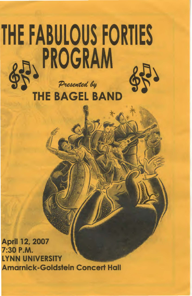## THE FABULOUS FORTIES Presented by<br>THE BAGEL BAND

April 12, 2007 7:30 P.M. LYNN UNIVERSITY Amarnick-Goldstein Concert Hall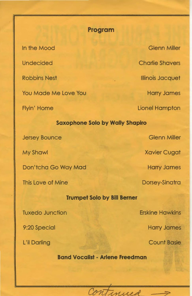## **Program**

In the Mood

Undecided

Robbins Nest

You Made Me Love You

Flyin' Home

**Saxophone Solo by Wally Shapiro** 

Jersey Bounce

My Shawl

Don' tcha Go Way Mad

This Love of Mine

**Trumpet Solo by Bill Berner** 

Tuxedo Junction

9:20 Special

L'il Darling

Glenn Miller Charlie Shavers Illinois Jacquet Harry James Lionel Hampton

Glenn Miller

Xavier Cugat

Harry James

Dorsey-Sinatra

Erskine Hawkins

Harry James

Count Basie

**Band Vocalist- Arlene Freedman** 

Continued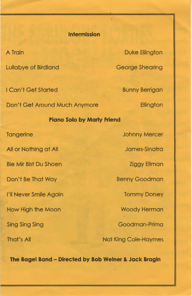## **Intermission**

A Train Lullabye of Birdland I Can't Get Started Don't Get Around Much Anymore **Piano Solo by Marty Friend Tangerine** All or Nothing at All Bie Mir Bist Du Shoen Don't Be That Way I'll Never Smile Again How High the Moon Sing Sing Sing

That's All

Duke Ellington

George Shearing

Bunny Berrigan

**Ellington** 

Johnny Mercer

James-Sinatra

Ziggy Ellman

Benny Goodman

Tommy Dorsey

Woody Herman

Goodman-Prima

Nat King Cole-Haymes

**The Bagel Band - Directed by Bob Weiner & Jack Bragin**